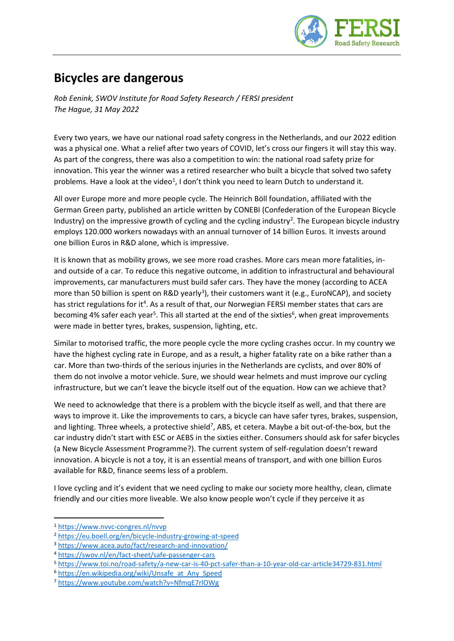

## **Bicycles are dangerous**

*Rob Eenink, SWOV Institute for Road Safety Research / FERSI president The Hague, 31 May 2022*

Every two years, we have our national road safety congress in the Netherlands, and our 2022 edition was a physical one. What a relief after two years of COVID, let's cross our fingers it will stay this way. As part of the congress, there was also a competition to win: the national road safety prize for innovation. This year the winner was a retired researcher who built a bicycle that solved two safety problems. Have a look at the video<sup>1</sup>, I don't think you need to learn Dutch to understand it.

All over Europe more and more people cycle. The Heinrich Böll foundation, affiliated with the German Green party, published an article written by CONEBI (Confederation of the European Bicycle Industry) on the impressive growth of cycling and the cycling industry<sup>2</sup>. The European bicycle industry employs 120.000 workers nowadays with an annual turnover of 14 billion Euros. It invests around one billion Euros in R&D alone, which is impressive.

It is known that as mobility grows, we see more road crashes. More cars mean more fatalities, inand outside of a car. To reduce this negative outcome, in addition to infrastructural and behavioural improvements, car manufacturers must build safer cars. They have the money (according to ACEA more than 50 billion is spent on R&D yearly<sup>3</sup>), their customers want it (e.g., EuroNCAP), and society has strict regulations for it<sup>4</sup>. As a result of that, our Norwegian FERSI member states that cars are becoming 4% safer each year<sup>5</sup>. This all started at the end of the sixties<sup>6</sup>, when great improvements were made in better tyres, brakes, suspension, lighting, etc.

Similar to motorised traffic, the more people cycle the more cycling crashes occur. In my country we have the highest cycling rate in Europe, and as a result, a higher fatality rate on a bike rather than a car. More than two-thirds of the serious injuries in the Netherlands are cyclists, and over 80% of them do not involve a motor vehicle. Sure, we should wear helmets and must improve our cycling infrastructure, but we can't leave the bicycle itself out of the equation. How can we achieve that?

We need to acknowledge that there is a problem with the bicycle itself as well, and that there are ways to improve it. Like the improvements to cars, a bicycle can have safer tyres, brakes, suspension, and lighting. Three wheels, a protective shield<sup>7</sup>, ABS, et cetera. Maybe a bit out-of-the-box, but the car industry didn't start with ESC or AEBS in the sixties either. Consumers should ask for safer bicycles (a New Bicycle Assessment Programme?). The current system of self-regulation doesn't reward innovation. A bicycle is not a toy, it is an essential means of transport, and with one billion Euros available for R&D, finance seems less of a problem.

I love cycling and it's evident that we need cycling to make our society more healthy, clean, climate friendly and our cities more liveable. We also know people won't cycle if they perceive it as

<sup>1</sup> <https://www.nvvc-congres.nl/nvvp>

<sup>2</sup> <https://eu.boell.org/en/bicycle-industry-growing-at-speed>

<sup>3</sup> <https://www.acea.auto/fact/research-and-innovation/>

<sup>4</sup> <https://swov.nl/en/fact-sheet/safe-passenger-cars>

<sup>5</sup> <https://www.toi.no/road-safety/a-new-car-is-40-pct-safer-than-a-10-year-old-car-article34729-831.html>

<sup>&</sup>lt;sup>6</sup> [https://en.wikipedia.org/wiki/Unsafe\\_at\\_Any\\_Speed](https://en.wikipedia.org/wiki/Unsafe_at_Any_Speed)

<sup>7</sup> <https://www.youtube.com/watch?v=NfmqE7rlOWg>